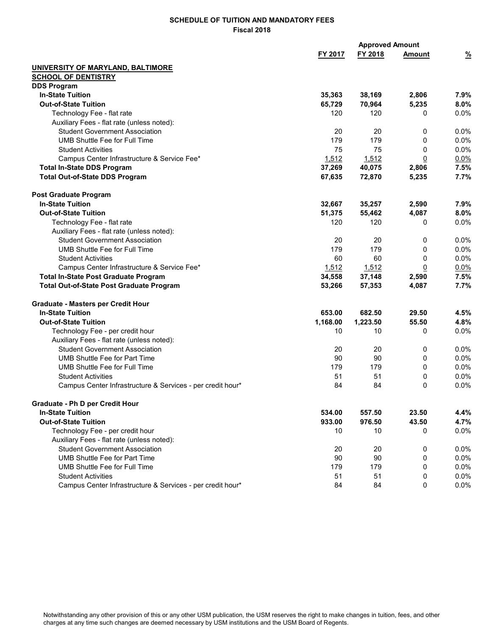|                                                            |          |          | <b>Approved Amount</b> |               |  |  |
|------------------------------------------------------------|----------|----------|------------------------|---------------|--|--|
|                                                            | FY 2017  | FY 2018  | <b>Amount</b>          | $\frac{9}{6}$ |  |  |
| UNIVERSITY OF MARYLAND, BALTIMORE                          |          |          |                        |               |  |  |
| <b>SCHOOL OF DENTISTRY</b>                                 |          |          |                        |               |  |  |
| <b>DDS Program</b>                                         |          |          |                        |               |  |  |
| <b>In-State Tuition</b>                                    | 35,363   | 38,169   | 2,806                  | 7.9%          |  |  |
| <b>Out-of-State Tuition</b>                                | 65,729   | 70,964   | 5,235                  | 8.0%          |  |  |
| Technology Fee - flat rate                                 | 120      | 120      | 0                      | 0.0%          |  |  |
| Auxiliary Fees - flat rate (unless noted):                 |          |          |                        |               |  |  |
| <b>Student Government Association</b>                      | 20       | 20       | 0                      | 0.0%          |  |  |
| UMB Shuttle Fee for Full Time                              | 179      | 179      | 0                      | 0.0%          |  |  |
| <b>Student Activities</b>                                  | 75       | 75       | 0                      | 0.0%          |  |  |
| Campus Center Infrastructure & Service Fee*                | 1,512    | 1,512    | 0                      | 0.0%          |  |  |
| <b>Total In-State DDS Program</b>                          | 37,269   | 40,075   | 2,806                  | 7.5%          |  |  |
| <b>Total Out-of-State DDS Program</b>                      | 67,635   | 72,870   | 5,235                  | 7.7%          |  |  |
| <b>Post Graduate Program</b>                               |          |          |                        |               |  |  |
| <b>In-State Tuition</b>                                    | 32,667   | 35,257   | 2,590                  | 7.9%          |  |  |
| <b>Out-of-State Tuition</b>                                | 51,375   | 55,462   | 4,087                  | 8.0%          |  |  |
| Technology Fee - flat rate                                 | 120      | 120      | 0                      | 0.0%          |  |  |
| Auxiliary Fees - flat rate (unless noted):                 |          |          |                        |               |  |  |
| <b>Student Government Association</b>                      | 20       | 20       | 0                      | 0.0%          |  |  |
| <b>UMB Shuttle Fee for Full Time</b>                       | 179      | 179      | 0                      | 0.0%          |  |  |
| <b>Student Activities</b>                                  | 60       | 60       | 0                      | 0.0%          |  |  |
| Campus Center Infrastructure & Service Fee*                | 1,512    | 1,512    | $\overline{0}$         | 0.0%          |  |  |
| <b>Total In-State Post Graduate Program</b>                | 34,558   | 37,148   | 2,590                  | 7.5%          |  |  |
| <b>Total Out-of-State Post Graduate Program</b>            | 53,266   | 57,353   | 4,087                  | 7.7%          |  |  |
| Graduate - Masters per Credit Hour                         |          |          |                        |               |  |  |
| <b>In-State Tuition</b>                                    | 653.00   | 682.50   | 29.50                  | 4.5%          |  |  |
| <b>Out-of-State Tuition</b>                                | 1,168.00 | 1,223.50 | 55.50                  | 4.8%          |  |  |
| Technology Fee - per credit hour                           | 10       | 10       | 0                      | 0.0%          |  |  |
| Auxiliary Fees - flat rate (unless noted):                 |          |          |                        |               |  |  |
| <b>Student Government Association</b>                      | 20       | 20       | 0                      | 0.0%          |  |  |
| UMB Shuttle Fee for Part Time                              | 90       | 90       | 0                      | 0.0%          |  |  |
| UMB Shuttle Fee for Full Time                              | 179      | 179      | 0                      | 0.0%          |  |  |
| <b>Student Activities</b>                                  | 51       | 51       | 0                      | 0.0%          |  |  |
| Campus Center Infrastructure & Services - per credit hour* | 84       | 84       | 0                      | $0.0\%$       |  |  |
| Graduate - Ph D per Credit Hour                            |          |          |                        |               |  |  |
| <b>In-State Tuition</b>                                    | 534.00   | 557.50   | 23.50                  | 4.4%          |  |  |
| <b>Out-of-State Tuition</b>                                | 933.00   | 976.50   | 43.50                  | 4.7%          |  |  |
| Technology Fee - per credit hour                           | 10       | 10       | 0                      | $0.0\%$       |  |  |
| Auxiliary Fees - flat rate (unless noted):                 |          |          |                        |               |  |  |
| <b>Student Government Association</b>                      | 20       | 20       | 0                      | 0.0%          |  |  |
| <b>UMB Shuttle Fee for Part Time</b>                       | 90       | 90       | 0                      | 0.0%          |  |  |
| UMB Shuttle Fee for Full Time                              | 179      | 179      | 0                      | 0.0%          |  |  |
| <b>Student Activities</b>                                  | 51       | 51       | 0                      | 0.0%          |  |  |
| Campus Center Infrastructure & Services - per credit hour* | 84       | 84       | 0                      | 0.0%          |  |  |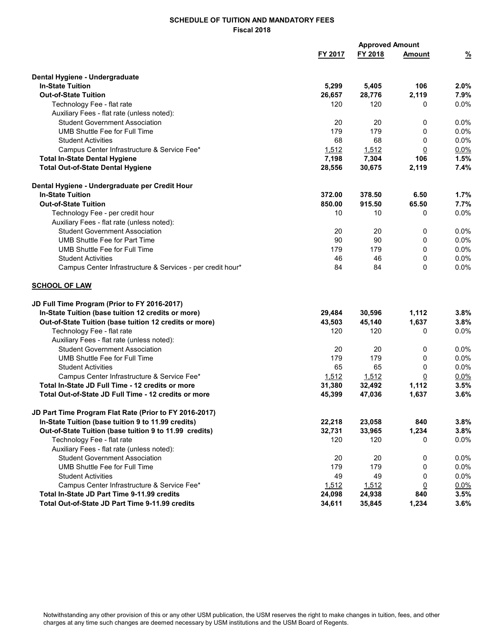|                                                            |         | <b>Approved Amount</b> |                |               |  |
|------------------------------------------------------------|---------|------------------------|----------------|---------------|--|
|                                                            | FY 2017 | FY 2018                | <b>Amount</b>  | $\frac{9}{6}$ |  |
| Dental Hygiene - Undergraduate                             |         |                        |                |               |  |
| <b>In-State Tuition</b>                                    | 5,299   | 5,405                  | 106            | 2.0%          |  |
| <b>Out-of-State Tuition</b>                                | 26,657  | 28,776                 | 2,119          | 7.9%          |  |
| Technology Fee - flat rate                                 | 120     | 120                    | 0              | 0.0%          |  |
| Auxiliary Fees - flat rate (unless noted):                 |         |                        |                |               |  |
| <b>Student Government Association</b>                      | 20      | 20                     | 0              | 0.0%          |  |
| UMB Shuttle Fee for Full Time                              | 179     | 179                    | 0              | $0.0\%$       |  |
| <b>Student Activities</b>                                  | 68      | 68                     | 0              | 0.0%          |  |
| Campus Center Infrastructure & Service Fee*                | 1,512   | 1,512                  | 0              | 0.0%          |  |
| <b>Total In-State Dental Hygiene</b>                       | 7,198   | 7,304                  | 106            | 1.5%          |  |
| <b>Total Out-of-State Dental Hygiene</b>                   | 28,556  | 30,675                 | 2,119          | 7.4%          |  |
| Dental Hygiene - Undergraduate per Credit Hour             |         |                        |                |               |  |
| <b>In-State Tuition</b>                                    | 372.00  | 378.50                 | 6.50           | 1.7%          |  |
| <b>Out-of-State Tuition</b>                                | 850.00  | 915.50                 | 65.50          | 7.7%          |  |
| Technology Fee - per credit hour                           | 10      | 10                     | 0              | 0.0%          |  |
| Auxiliary Fees - flat rate (unless noted):                 |         |                        |                |               |  |
| <b>Student Government Association</b>                      | 20      | 20                     | 0              | 0.0%          |  |
| UMB Shuttle Fee for Part Time                              | 90      | 90                     | 0              | 0.0%          |  |
| UMB Shuttle Fee for Full Time                              | 179     | 179                    | 0              | 0.0%          |  |
| <b>Student Activities</b>                                  | 46      | 46                     | 0              | 0.0%          |  |
| Campus Center Infrastructure & Services - per credit hour* | 84      | 84                     | 0              | 0.0%          |  |
| <b>SCHOOL OF LAW</b>                                       |         |                        |                |               |  |
| JD Full Time Program (Prior to FY 2016-2017)               |         |                        |                |               |  |
| In-State Tuition (base tuition 12 credits or more)         | 29,484  | 30,596                 | 1,112          | 3.8%          |  |
| Out-of-State Tuition (base tuition 12 credits or more)     | 43,503  | 45,140                 | 1,637          | 3.8%          |  |
| Technology Fee - flat rate                                 | 120     | 120                    | 0              | 0.0%          |  |
| Auxiliary Fees - flat rate (unless noted):                 |         |                        |                |               |  |
| <b>Student Government Association</b>                      | 20      | 20                     | 0              | 0.0%          |  |
| UMB Shuttle Fee for Full Time                              | 179     | 179                    | 0              | 0.0%          |  |
| <b>Student Activities</b>                                  | 65      | 65                     | 0              | 0.0%          |  |
| Campus Center Infrastructure & Service Fee*                | 1,512   | 1,512                  | $\overline{0}$ | 0.0%          |  |
| Total In-State JD Full Time - 12 credits or more           | 31,380  | 32,492                 | 1,112          | 3.5%          |  |
| Total Out-of-State JD Full Time - 12 credits or more       | 45,399  | 47,036                 | 1,637          | 3.6%          |  |
| JD Part Time Program Flat Rate (Prior to FY 2016-2017)     |         |                        |                |               |  |
| In-State Tuition (base tuition 9 to 11.99 credits)         | 22,218  | 23,058                 | 840            | 3.8%          |  |
| Out-of-State Tuition (base tuition 9 to 11.99 credits)     | 32,731  | 33,965                 | 1,234          | 3.8%          |  |
| Technology Fee - flat rate                                 | 120     | 120                    | 0              | 0.0%          |  |
| Auxiliary Fees - flat rate (unless noted):                 |         |                        |                |               |  |
| <b>Student Government Association</b>                      | 20      | 20                     | 0              | 0.0%          |  |
| <b>UMB Shuttle Fee for Full Time</b>                       | 179     | 179                    | 0              | 0.0%          |  |
| <b>Student Activities</b>                                  | 49      | 49                     | 0              | 0.0%          |  |
| Campus Center Infrastructure & Service Fee*                | 1,512   | 1,512                  | $\overline{0}$ | 0.0%          |  |
| Total In-State JD Part Time 9-11.99 credits                | 24,098  | 24,938                 | 840            | 3.5%          |  |
| Total Out-of-State JD Part Time 9-11.99 credits            | 34,611  | 35,845                 | 1,234          | 3.6%          |  |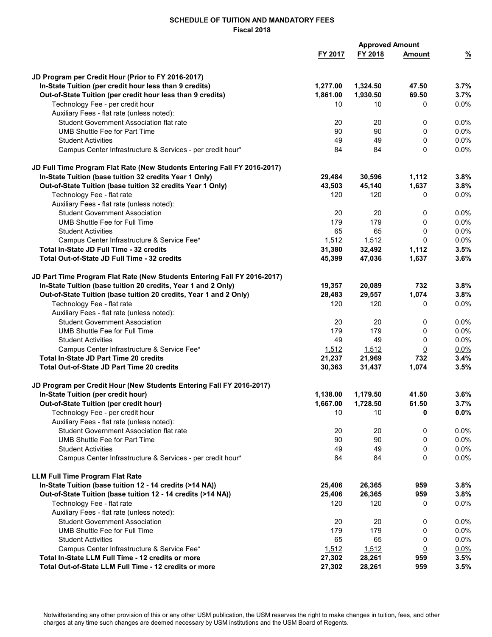|                                                                                         |          | <b>Approved Amount</b> |               |                 |  |  |
|-----------------------------------------------------------------------------------------|----------|------------------------|---------------|-----------------|--|--|
|                                                                                         | FY 2017  | FY 2018                | <b>Amount</b> | $\frac{9}{6}$   |  |  |
|                                                                                         |          |                        |               |                 |  |  |
| JD Program per Credit Hour (Prior to FY 2016-2017)                                      |          |                        |               |                 |  |  |
| In-State Tuition (per credit hour less than 9 credits)                                  | 1,277.00 | 1,324.50               | 47.50         | 3.7%            |  |  |
| Out-of-State Tuition (per credit hour less than 9 credits)                              | 1,861.00 | 1,930.50               | 69.50         | 3.7%            |  |  |
| Technology Fee - per credit hour                                                        | 10       | 10                     | 0             | $0.0\%$         |  |  |
| Auxiliary Fees - flat rate (unless noted):                                              |          |                        |               |                 |  |  |
| Student Government Association flat rate                                                | 20       | 20                     | 0             | 0.0%            |  |  |
| <b>UMB Shuttle Fee for Part Time</b>                                                    | 90       | 90                     | 0             | $0.0\%$         |  |  |
| <b>Student Activities</b>                                                               | 49       | 49                     | 0             | 0.0%            |  |  |
| Campus Center Infrastructure & Services - per credit hour*                              | 84       | 84                     | 0             | $0.0\%$         |  |  |
| JD Full Time Program Flat Rate (New Students Entering Fall FY 2016-2017)                |          |                        |               |                 |  |  |
| In-State Tuition (base tuition 32 credits Year 1 Only)                                  | 29,484   | 30,596                 | 1,112         | 3.8%            |  |  |
| Out-of-State Tuition (base tuition 32 credits Year 1 Only)                              | 43,503   | 45,140                 | 1,637         | 3.8%            |  |  |
| Technology Fee - flat rate                                                              | 120      | 120                    | 0             | $0.0\%$         |  |  |
| Auxiliary Fees - flat rate (unless noted):                                              |          |                        |               |                 |  |  |
| <b>Student Government Association</b>                                                   | 20       | 20                     | 0             | $0.0\%$         |  |  |
| UMB Shuttle Fee for Full Time                                                           | 179      | 179                    | 0             | 0.0%            |  |  |
|                                                                                         | 65       |                        |               |                 |  |  |
| <b>Student Activities</b>                                                               |          | 65                     | 0             | 0.0%            |  |  |
| Campus Center Infrastructure & Service Fee*                                             | 1,512    | 1,512                  | <u>0</u>      | 0.0%            |  |  |
| Total In-State JD Full Time - 32 credits                                                | 31,380   | 32,492                 | 1,112         | 3.5%            |  |  |
| Total Out-of-State JD Full Time - 32 credits                                            | 45,399   | 47,036                 | 1,637         | 3.6%            |  |  |
| JD Part Time Program Flat Rate (New Students Entering Fall FY 2016-2017)                |          |                        |               |                 |  |  |
| In-State Tuition (base tuition 20 credits, Year 1 and 2 Only)                           | 19,357   | 20,089                 | 732           | 3.8%            |  |  |
| Out-of-State Tuition (base tuition 20 credits, Year 1 and 2 Only)                       | 28,483   | 29,557                 | 1,074         | 3.8%            |  |  |
| Technology Fee - flat rate                                                              | 120      | 120                    | 0             | $0.0\%$         |  |  |
| Auxiliary Fees - flat rate (unless noted):                                              |          |                        |               |                 |  |  |
| <b>Student Government Association</b>                                                   | 20       | 20                     | 0             | $0.0\%$         |  |  |
| <b>UMB Shuttle Fee for Full Time</b>                                                    | 179      | 179                    | 0             | 0.0%            |  |  |
| <b>Student Activities</b>                                                               | 49       | 49                     | 0             | $0.0\%$         |  |  |
| Campus Center Infrastructure & Service Fee*                                             | 1,512    | 1,512                  | <u>0</u>      | $0.0\%$         |  |  |
| Total In-State JD Part Time 20 credits                                                  | 21,237   | 21,969                 | 732           | 3.4%            |  |  |
| Total Out-of-State JD Part Time 20 credits                                              | 30,363   | 31,437                 | 1,074         | 3.5%            |  |  |
| JD Program per Credit Hour (New Students Entering Fall FY 2016-2017)                    |          |                        |               |                 |  |  |
| In-State Tuition (per credit hour)                                                      | 1,138.00 | 1,179.50               | 41.50         | 3.6%            |  |  |
| Out-of-State Tuition (per credit hour)                                                  | 1,667.00 | 1,728.50               | 61.50         | 3.7%            |  |  |
| Technology Fee - per credit hour                                                        | 10       | 10                     | 0             | 0.0%            |  |  |
| Auxiliary Fees - flat rate (unless noted):                                              |          |                        |               |                 |  |  |
| Student Government Association flat rate                                                | 20       | 20                     | 0             | 0.0%            |  |  |
| UMB Shuttle Fee for Part Time                                                           | 90       | 90                     | 0             | 0.0%            |  |  |
|                                                                                         |          |                        |               |                 |  |  |
| <b>Student Activities</b><br>Campus Center Infrastructure & Services - per credit hour* | 49<br>84 | 49<br>84               | 0<br>0        | $0.0\%$<br>0.0% |  |  |
|                                                                                         |          |                        |               |                 |  |  |
| <b>LLM Full Time Program Flat Rate</b>                                                  |          |                        |               |                 |  |  |
| In-State Tuition (base tuition 12 - 14 credits (>14 NA))                                | 25,406   | 26,365                 | 959           | 3.8%            |  |  |
| Out-of-State Tuition (base tuition 12 - 14 credits (>14 NA))                            | 25,406   | 26,365                 | 959           | 3.8%            |  |  |
| Technology Fee - flat rate                                                              | 120      | 120                    | 0             | $0.0\%$         |  |  |
| Auxiliary Fees - flat rate (unless noted):                                              |          |                        |               |                 |  |  |
| <b>Student Government Association</b>                                                   | 20       | 20                     | 0             | 0.0%            |  |  |
| <b>UMB Shuttle Fee for Full Time</b>                                                    | 179      | 179                    | 0             | $0.0\%$         |  |  |
| <b>Student Activities</b>                                                               | 65       | 65                     | 0             | 0.0%            |  |  |
| Campus Center Infrastructure & Service Fee*                                             | 1,512    | 1,512                  | <u>0</u>      | 0.0%            |  |  |
| Total In-State LLM Full Time - 12 credits or more                                       | 27,302   | 28,261                 | 959           | 3.5%            |  |  |
| Total Out-of-State LLM Full Time - 12 credits or more                                   | 27,302   | 28,261                 | 959           | 3.5%            |  |  |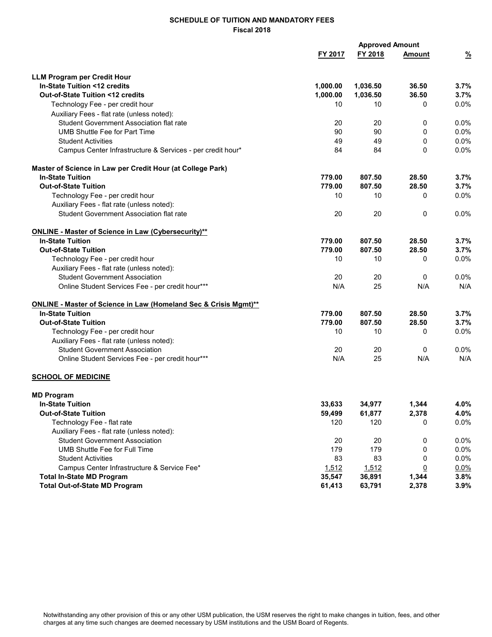|                                                                                     | <b>Approved Amount</b> |          |                |               |
|-------------------------------------------------------------------------------------|------------------------|----------|----------------|---------------|
|                                                                                     | FY 2017                | FY 2018  | Amount         | $\frac{9}{6}$ |
| <b>LLM Program per Credit Hour</b>                                                  |                        |          |                |               |
| In-State Tuition <12 credits                                                        | 1,000.00               | 1,036.50 | 36.50          | 3.7%          |
| Out-of-State Tuition <12 credits                                                    | 1,000.00               | 1,036.50 | 36.50          | 3.7%          |
| Technology Fee - per credit hour                                                    | 10                     | 10       | $\mathbf{0}$   | 0.0%          |
| Auxiliary Fees - flat rate (unless noted):                                          |                        |          |                |               |
| <b>Student Government Association flat rate</b>                                     | 20                     | 20       | 0              | 0.0%          |
| <b>UMB Shuttle Fee for Part Time</b>                                                | 90                     | 90       | 0              | $0.0\%$       |
| <b>Student Activities</b>                                                           | 49                     | 49       | 0              | 0.0%          |
| Campus Center Infrastructure & Services - per credit hour*                          | 84                     | 84       | $\Omega$       | 0.0%          |
| Master of Science in Law per Credit Hour (at College Park)                          |                        |          |                |               |
| <b>In-State Tuition</b>                                                             | 779.00                 | 807.50   | 28.50          | 3.7%          |
| <b>Out-of-State Tuition</b>                                                         | 779.00                 | 807.50   | 28.50          | 3.7%          |
| Technology Fee - per credit hour                                                    | 10                     | 10       | 0              | 0.0%          |
| Auxiliary Fees - flat rate (unless noted):                                          |                        |          |                |               |
| <b>Student Government Association flat rate</b>                                     | 20                     | 20       | 0              | 0.0%          |
| <b>ONLINE - Master of Science in Law (Cybersecurity)**</b>                          |                        |          |                |               |
| <b>In-State Tuition</b>                                                             | 779.00                 | 807.50   | 28.50          | 3.7%          |
| <b>Out-of-State Tuition</b>                                                         | 779.00                 | 807.50   | 28.50          | 3.7%          |
| Technology Fee - per credit hour                                                    | 10                     | 10       | 0              | 0.0%          |
| Auxiliary Fees - flat rate (unless noted):                                          |                        |          |                |               |
| <b>Student Government Association</b>                                               | 20                     | 20       | $\Omega$       | 0.0%          |
| Online Student Services Fee - per credit hour***                                    | N/A                    | 25       | N/A            | N/A           |
| <b>ONLINE - Master of Science in Law (Homeland Sec &amp; Crisis Mgmt)**</b>         |                        |          |                |               |
| <b>In-State Tuition</b>                                                             | 779.00                 | 807.50   | 28.50          | 3.7%          |
| <b>Out-of-State Tuition</b>                                                         | 779.00                 | 807.50   | 28.50          | 3.7%          |
| Technology Fee - per credit hour                                                    | 10                     | 10       | 0              | 0.0%          |
| Auxiliary Fees - flat rate (unless noted):<br><b>Student Government Association</b> | 20                     | 20       | 0              | 0.0%          |
| Online Student Services Fee - per credit hour***                                    | N/A                    | 25       | N/A            | N/A           |
|                                                                                     |                        |          |                |               |
| <b>SCHOOL OF MEDICINE</b>                                                           |                        |          |                |               |
| <b>MD Program</b>                                                                   |                        |          |                |               |
| <b>In-State Tuition</b>                                                             | 33,633                 | 34,977   | 1,344          | 4.0%          |
| <b>Out-of-State Tuition</b>                                                         | 59,499                 | 61,877   | 2,378          | 4.0%          |
| Technology Fee - flat rate                                                          | 120                    | 120      | 0              | 0.0%          |
| Auxiliary Fees - flat rate (unless noted):                                          |                        |          |                |               |
| <b>Student Government Association</b>                                               | 20                     | 20       | 0              | 0.0%          |
| UMB Shuttle Fee for Full Time                                                       | 179                    | 179      | 0              | 0.0%          |
| <b>Student Activities</b>                                                           | 83                     | 83       | 0              | 0.0%          |
| Campus Center Infrastructure & Service Fee*                                         | 1,512                  | 1,512    | $\overline{0}$ | $0.0\%$       |
| <b>Total In-State MD Program</b>                                                    | 35,547                 | 36,891   | 1,344          | 3.8%          |
| <b>Total Out-of-State MD Program</b>                                                | 61,413                 | 63,791   | 2,378          | 3.9%          |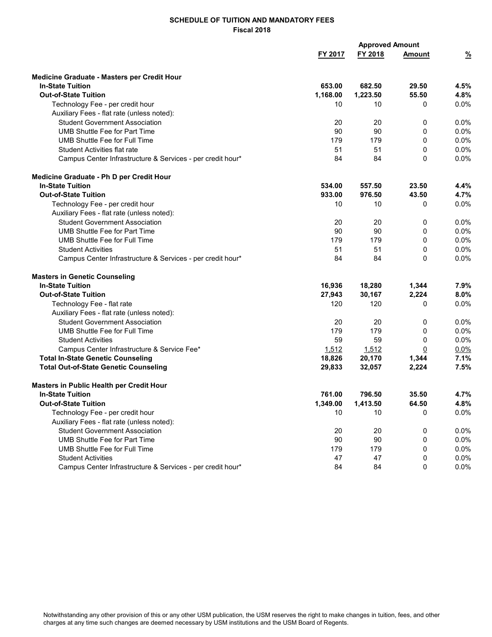|                                                            | <b>Approved Amount</b> |          |               |               |
|------------------------------------------------------------|------------------------|----------|---------------|---------------|
|                                                            | FY 2017                | FY 2018  | <b>Amount</b> | $\frac{9}{6}$ |
| Medicine Graduate - Masters per Credit Hour                |                        |          |               |               |
| <b>In-State Tuition</b>                                    | 653.00                 | 682.50   | 29.50         | 4.5%          |
| <b>Out-of-State Tuition</b>                                | 1,168.00               | 1.223.50 | 55.50         | 4.8%          |
| Technology Fee - per credit hour                           | 10                     | 10       | 0             | 0.0%          |
| Auxiliary Fees - flat rate (unless noted):                 |                        |          |               |               |
| <b>Student Government Association</b>                      | 20                     | 20       | 0             | 0.0%          |
| UMB Shuttle Fee for Part Time                              | 90                     | 90       | 0             | 0.0%          |
| UMB Shuttle Fee for Full Time                              | 179                    | 179      | 0             | 0.0%          |
| Student Activities flat rate                               | 51                     | 51       | 0             | 0.0%          |
| Campus Center Infrastructure & Services - per credit hour* | 84                     | 84       | 0             | 0.0%          |
| Medicine Graduate - Ph D per Credit Hour                   |                        |          |               |               |
| <b>In-State Tuition</b>                                    | 534.00                 | 557.50   | 23.50         | 4.4%          |
| <b>Out-of-State Tuition</b>                                | 933.00                 | 976.50   | 43.50         | 4.7%          |
| Technology Fee - per credit hour                           | 10                     | 10       | 0             | 0.0%          |
| Auxiliary Fees - flat rate (unless noted):                 |                        |          |               |               |
| <b>Student Government Association</b>                      | 20                     | 20       | 0             | 0.0%          |
| <b>UMB Shuttle Fee for Part Time</b>                       | 90                     | 90       | 0             | 0.0%          |
| UMB Shuttle Fee for Full Time                              | 179                    | 179      | 0             | 0.0%          |
| <b>Student Activities</b>                                  | 51                     | 51       | 0             | 0.0%          |
| Campus Center Infrastructure & Services - per credit hour* | 84                     | 84       | 0             | 0.0%          |
| <b>Masters in Genetic Counseling</b>                       |                        |          |               |               |
| <b>In-State Tuition</b>                                    | 16,936                 | 18,280   | 1,344         | 7.9%          |
| <b>Out-of-State Tuition</b>                                | 27,943                 | 30,167   | 2,224         | 8.0%          |
| Technology Fee - flat rate                                 | 120                    | 120      | 0             | 0.0%          |
| Auxiliary Fees - flat rate (unless noted):                 |                        |          |               |               |
| <b>Student Government Association</b>                      | 20                     | 20       | 0             | 0.0%          |
| <b>UMB Shuttle Fee for Full Time</b>                       | 179                    | 179      | 0             | 0.0%          |
| <b>Student Activities</b>                                  | 59                     | 59       | 0             | 0.0%          |
| Campus Center Infrastructure & Service Fee*                | 1,512                  | 1,512    | <u>0</u>      | 0.0%          |
| <b>Total In-State Genetic Counseling</b>                   | 18,826                 | 20,170   | 1,344         | 7.1%          |
| <b>Total Out-of-State Genetic Counseling</b>               | 29,833                 | 32,057   | 2,224         | 7.5%          |
| Masters in Public Health per Credit Hour                   |                        |          |               |               |
| <b>In-State Tuition</b>                                    | 761.00                 | 796.50   | 35.50         | 4.7%          |
| <b>Out-of-State Tuition</b>                                | 1,349.00               | 1,413.50 | 64.50         | 4.8%          |
| Technology Fee - per credit hour                           | 10                     | 10       | 0             | $0.0\%$       |
| Auxiliary Fees - flat rate (unless noted):                 |                        |          |               |               |
| <b>Student Government Association</b>                      | 20                     | 20       | 0             | 0.0%          |
| <b>UMB Shuttle Fee for Part Time</b>                       | 90                     | 90       | 0             | $0.0\%$       |
| UMB Shuttle Fee for Full Time                              | 179                    | 179      | 0             | 0.0%          |
| <b>Student Activities</b>                                  | 47                     | 47       | 0             | $0.0\%$       |
| Campus Center Infrastructure & Services - per credit hour* | 84                     | 84       | 0             | 0.0%          |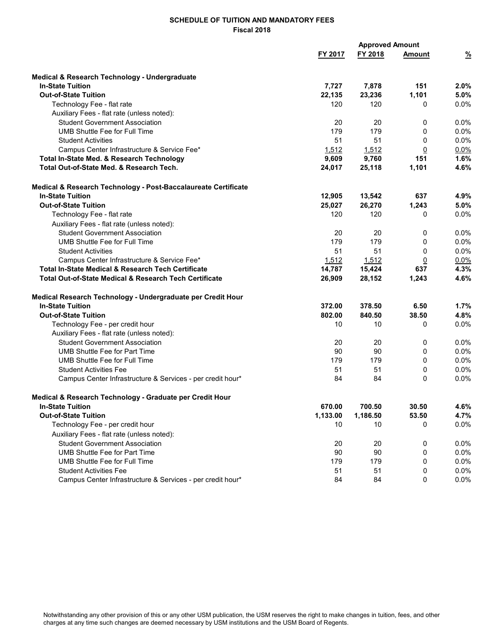|                                                                   |          | <b>Approved Amount</b> |                |               |  |
|-------------------------------------------------------------------|----------|------------------------|----------------|---------------|--|
|                                                                   | FY 2017  | FY 2018                | <b>Amount</b>  | $\frac{9}{6}$ |  |
| <b>Medical &amp; Research Technology - Undergraduate</b>          |          |                        |                |               |  |
| <b>In-State Tuition</b>                                           | 7,727    | 7,878                  | 151            | 2.0%          |  |
| <b>Out-of-State Tuition</b>                                       | 22,135   | 23,236                 | 1,101          | 5.0%          |  |
| Technology Fee - flat rate                                        | 120      | 120                    | 0              | 0.0%          |  |
| Auxiliary Fees - flat rate (unless noted):                        |          |                        |                |               |  |
| <b>Student Government Association</b>                             | 20       | 20                     | 0              | 0.0%          |  |
| <b>UMB Shuttle Fee for Full Time</b>                              | 179      | 179                    | 0              | $0.0\%$       |  |
| <b>Student Activities</b>                                         | 51       | 51                     | 0              | 0.0%          |  |
| Campus Center Infrastructure & Service Fee*                       | 1,512    | 1,512                  | 0              | $0.0\%$       |  |
| Total In-State Med. & Research Technology                         | 9,609    | 9,760                  | 151            | 1.6%          |  |
| Total Out-of-State Med. & Research Tech.                          | 24,017   | 25,118                 | 1,101          | 4.6%          |  |
| Medical & Research Technology - Post-Baccalaureate Certificate    |          |                        |                |               |  |
| <b>In-State Tuition</b>                                           | 12,905   | 13,542                 | 637            | 4.9%          |  |
| <b>Out-of-State Tuition</b>                                       | 25,027   | 26,270                 | 1,243          | 5.0%          |  |
| Technology Fee - flat rate                                        | 120      | 120                    | 0              | 0.0%          |  |
| Auxiliary Fees - flat rate (unless noted):                        |          |                        |                |               |  |
| <b>Student Government Association</b>                             | 20       | 20                     | 0              | 0.0%          |  |
| <b>UMB Shuttle Fee for Full Time</b>                              | 179      | 179                    | 0              | 0.0%          |  |
| <b>Student Activities</b>                                         | 51       | 51                     | 0              | 0.0%          |  |
| Campus Center Infrastructure & Service Fee*                       | 1,512    | 1,512                  | $\overline{0}$ | $0.0\%$       |  |
| <b>Total In-State Medical &amp; Research Tech Certificate</b>     | 14,787   | 15,424                 | 637            | 4.3%          |  |
| <b>Total Out-of-State Medical &amp; Research Tech Certificate</b> | 26,909   | 28,152                 | 1,243          | 4.6%          |  |
| Medical Research Technology - Undergraduate per Credit Hour       |          |                        |                |               |  |
| <b>In-State Tuition</b>                                           | 372.00   | 378.50                 | 6.50           | 1.7%          |  |
| <b>Out-of-State Tuition</b>                                       | 802.00   | 840.50                 | 38.50          | 4.8%          |  |
| Technology Fee - per credit hour                                  | 10       | 10                     | 0              | $0.0\%$       |  |
| Auxiliary Fees - flat rate (unless noted):                        |          |                        |                |               |  |
| <b>Student Government Association</b>                             | 20       | 20                     | 0              | $0.0\%$       |  |
| <b>UMB Shuttle Fee for Part Time</b>                              | 90       | 90                     | 0              | 0.0%          |  |
| <b>UMB Shuttle Fee for Full Time</b>                              | 179      | 179                    | 0              | $0.0\%$       |  |
| <b>Student Activities Fee</b>                                     | 51       | 51                     | 0              | 0.0%          |  |
| Campus Center Infrastructure & Services - per credit hour*        | 84       | 84                     | 0              | 0.0%          |  |
| Medical & Research Technology - Graduate per Credit Hour          |          |                        |                |               |  |
| <b>In-State Tuition</b>                                           | 670.00   | 700.50                 | 30.50          | 4.6%          |  |
| <b>Out-of-State Tuition</b>                                       | 1,133.00 | 1,186.50               | 53.50          | 4.7%          |  |
| Technology Fee - per credit hour                                  | 10       | 10                     | 0              | $0.0\%$       |  |
| Auxiliary Fees - flat rate (unless noted):                        |          |                        |                |               |  |
| <b>Student Government Association</b>                             | 20       | 20                     | 0              | 0.0%          |  |
| <b>UMB Shuttle Fee for Part Time</b>                              | 90       | 90                     | 0              | 0.0%          |  |
| UMB Shuttle Fee for Full Time                                     | 179      | 179                    | 0              | 0.0%          |  |
| <b>Student Activities Fee</b>                                     | 51       | 51                     | 0              | $0.0\%$       |  |
| Campus Center Infrastructure & Services - per credit hour*        | 84       | 84                     | 0              | 0.0%          |  |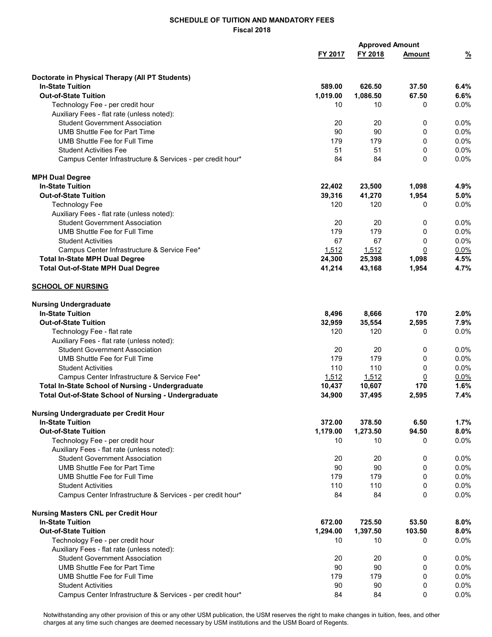|                                                                                     |                    | <b>Approved Amount</b> |                |               |  |  |
|-------------------------------------------------------------------------------------|--------------------|------------------------|----------------|---------------|--|--|
|                                                                                     | FY 2017            | FY 2018                | <b>Amount</b>  | $\frac{9}{6}$ |  |  |
|                                                                                     |                    |                        |                |               |  |  |
| Doctorate in Physical Therapy (All PT Students)<br><b>In-State Tuition</b>          |                    |                        | 37.50          | 6.4%          |  |  |
| <b>Out-of-State Tuition</b>                                                         | 589.00<br>1,019.00 | 626.50<br>1,086.50     | 67.50          | 6.6%          |  |  |
| Technology Fee - per credit hour                                                    | 10                 | 10                     | 0              | $0.0\%$       |  |  |
| Auxiliary Fees - flat rate (unless noted):                                          |                    |                        |                |               |  |  |
| <b>Student Government Association</b>                                               | 20                 | 20                     | 0              | 0.0%          |  |  |
| <b>UMB Shuttle Fee for Part Time</b>                                                | 90                 | 90                     | 0              | 0.0%          |  |  |
| UMB Shuttle Fee for Full Time                                                       | 179                | 179                    | 0              | 0.0%          |  |  |
| <b>Student Activities Fee</b>                                                       | 51                 | 51                     | 0              | 0.0%          |  |  |
| Campus Center Infrastructure & Services - per credit hour*                          | 84                 | 84                     | 0              | 0.0%          |  |  |
| <b>MPH Dual Degree</b>                                                              |                    |                        |                |               |  |  |
| <b>In-State Tuition</b>                                                             | 22,402             | 23,500                 | 1,098          | 4.9%          |  |  |
| <b>Out-of-State Tuition</b>                                                         | 39,316             | 41,270                 | 1,954          | 5.0%          |  |  |
| <b>Technology Fee</b>                                                               | 120                | 120                    | 0              | 0.0%          |  |  |
| Auxiliary Fees - flat rate (unless noted):                                          |                    |                        |                |               |  |  |
| <b>Student Government Association</b>                                               | 20                 | 20                     | 0              | 0.0%          |  |  |
| <b>UMB Shuttle Fee for Full Time</b>                                                | 179                | 179                    | 0              | 0.0%          |  |  |
| <b>Student Activities</b>                                                           | 67                 | 67                     | 0              | 0.0%          |  |  |
| Campus Center Infrastructure & Service Fee*                                         | 1,512              | 1,512                  | <u>0</u>       | $0.0\%$       |  |  |
| <b>Total In-State MPH Dual Degree</b>                                               | 24,300             | 25,398                 | 1,098          | 4.5%          |  |  |
| <b>Total Out-of-State MPH Dual Degree</b>                                           | 41,214             | 43,168                 | 1,954          | 4.7%          |  |  |
| <b>SCHOOL OF NURSING</b>                                                            |                    |                        |                |               |  |  |
| <b>Nursing Undergraduate</b>                                                        |                    |                        |                |               |  |  |
| <b>In-State Tuition</b>                                                             | 8,496              | 8,666                  | 170            | 2.0%          |  |  |
| <b>Out-of-State Tuition</b>                                                         | 32,959             | 35,554                 | 2,595          | 7.9%          |  |  |
| Technology Fee - flat rate                                                          | 120                | 120                    | 0              | 0.0%          |  |  |
| Auxiliary Fees - flat rate (unless noted):                                          |                    |                        |                |               |  |  |
| <b>Student Government Association</b>                                               | 20                 | 20                     | 0              | 0.0%          |  |  |
| UMB Shuttle Fee for Full Time                                                       | 179                | 179                    | 0              | 0.0%          |  |  |
| <b>Student Activities</b>                                                           | 110                | 110                    | 0              | 0.0%          |  |  |
| Campus Center Infrastructure & Service Fee*                                         | 1,512              | 1,512                  | $\overline{0}$ | $0.0\%$       |  |  |
| Total In-State School of Nursing - Undergraduate                                    | 10,437             | 10,607                 | 170            | 1.6%          |  |  |
| Total Out-of-State School of Nursing - Undergraduate                                | 34,900             | 37,495                 | 2,595          | 7.4%          |  |  |
| Nursing Undergraduate per Credit Hour                                               |                    |                        |                |               |  |  |
| <b>In-State Tuition</b>                                                             | 372.00             | 378.50                 | 6.50           | 1.7%          |  |  |
| <b>Out-of-State Tuition</b>                                                         | 1,179.00           | 1,273.50               | 94.50          | 8.0%          |  |  |
| Technology Fee - per credit hour                                                    | 10                 | 10                     | 0              | 0.0%          |  |  |
| Auxiliary Fees - flat rate (unless noted):<br><b>Student Government Association</b> |                    | 20                     |                |               |  |  |
| <b>UMB Shuttle Fee for Part Time</b>                                                | 20<br>90           | 90                     | 0              | 0.0%          |  |  |
|                                                                                     | 179                |                        | 0<br>0         | 0.0%          |  |  |
| UMB Shuttle Fee for Full Time<br><b>Student Activities</b>                          | 110                | 179<br>110             |                | 0.0%          |  |  |
| Campus Center Infrastructure & Services - per credit hour*                          | 84                 | 84                     | 0<br>0         | 0.0%<br>0.0%  |  |  |
| <b>Nursing Masters CNL per Credit Hour</b>                                          |                    |                        |                |               |  |  |
| <b>In-State Tuition</b>                                                             | 672.00             | 725.50                 | 53.50          | 8.0%          |  |  |
| <b>Out-of-State Tuition</b>                                                         | 1,294.00           | 1,397.50               | 103.50         | 8.0%          |  |  |
| Technology Fee - per credit hour                                                    | 10                 | 10                     | 0              | 0.0%          |  |  |
| Auxiliary Fees - flat rate (unless noted):                                          |                    |                        |                |               |  |  |
| <b>Student Government Association</b>                                               | 20                 | 20                     | 0              | 0.0%          |  |  |
| <b>UMB Shuttle Fee for Part Time</b>                                                | 90                 | 90                     | 0              | 0.0%          |  |  |
| UMB Shuttle Fee for Full Time                                                       | 179                | 179                    | 0              | 0.0%          |  |  |
| <b>Student Activities</b>                                                           | 90                 | 90                     | 0              | 0.0%          |  |  |
| Campus Center Infrastructure & Services - per credit hour*                          | 84                 | 84                     | 0              | 0.0%          |  |  |
|                                                                                     |                    |                        |                |               |  |  |

Notwithstanding any other provision of this or any other USM publication, the USM reserves the right to make changes in tuition, fees, and other charges at any time such changes are deemed necessary by USM institutions and the USM Board of Regents.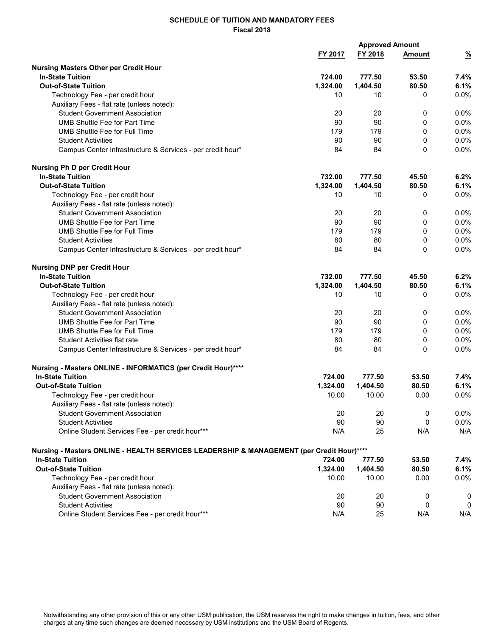|                                                                                                                     | <b>Approved Amount</b> |          |               |               |  |  |
|---------------------------------------------------------------------------------------------------------------------|------------------------|----------|---------------|---------------|--|--|
|                                                                                                                     | FY 2017                | FY 2018  | <b>Amount</b> | $\frac{9}{6}$ |  |  |
|                                                                                                                     |                        |          |               |               |  |  |
| <b>Nursing Masters Other per Credit Hour</b><br><b>In-State Tuition</b>                                             | 724.00                 | 777.50   | 53.50         | 7.4%          |  |  |
| <b>Out-of-State Tuition</b>                                                                                         | 1,324.00               | 1,404.50 | 80.50         | 6.1%          |  |  |
| Technology Fee - per credit hour                                                                                    | 10                     | 10       | 0             | 0.0%          |  |  |
| Auxiliary Fees - flat rate (unless noted):                                                                          |                        |          |               |               |  |  |
| <b>Student Government Association</b>                                                                               | 20                     | 20       | 0             | 0.0%          |  |  |
| <b>UMB Shuttle Fee for Part Time</b>                                                                                | 90                     | 90       | 0             | 0.0%          |  |  |
| UMB Shuttle Fee for Full Time                                                                                       | 179                    | 179      | 0             | 0.0%          |  |  |
| <b>Student Activities</b>                                                                                           | 90                     | 90       | 0             | 0.0%          |  |  |
|                                                                                                                     | 84                     | 84       | 0             | 0.0%          |  |  |
| Campus Center Infrastructure & Services - per credit hour*                                                          |                        |          |               |               |  |  |
| <b>Nursing Ph D per Credit Hour</b>                                                                                 |                        |          |               |               |  |  |
| <b>In-State Tuition</b>                                                                                             | 732.00                 | 777.50   | 45.50         | 6.2%          |  |  |
| <b>Out-of-State Tuition</b>                                                                                         | 1,324.00               | 1,404.50 | 80.50         | 6.1%          |  |  |
| Technology Fee - per credit hour                                                                                    | 10                     | 10       | 0             | 0.0%          |  |  |
| Auxiliary Fees - flat rate (unless noted):                                                                          |                        |          |               |               |  |  |
| <b>Student Government Association</b>                                                                               | 20                     | 20       | 0             | $0.0\%$       |  |  |
| <b>UMB Shuttle Fee for Part Time</b>                                                                                | 90                     | 90       | 0             | 0.0%          |  |  |
| UMB Shuttle Fee for Full Time                                                                                       | 179                    | 179      | 0             | 0.0%          |  |  |
| <b>Student Activities</b>                                                                                           | 80                     | 80       | 0             | 0.0%          |  |  |
| Campus Center Infrastructure & Services - per credit hour*                                                          | 84                     | 84       | 0             | 0.0%          |  |  |
|                                                                                                                     |                        |          |               |               |  |  |
| <b>Nursing DNP per Credit Hour</b>                                                                                  |                        |          |               |               |  |  |
| <b>In-State Tuition</b>                                                                                             | 732.00                 | 777.50   | 45.50         | 6.2%          |  |  |
| <b>Out-of-State Tuition</b>                                                                                         | 1,324.00               | 1,404.50 | 80.50         | 6.1%          |  |  |
| Technology Fee - per credit hour                                                                                    | 10                     | 10       | 0             | 0.0%          |  |  |
| Auxiliary Fees - flat rate (unless noted):                                                                          |                        |          |               |               |  |  |
| <b>Student Government Association</b>                                                                               | 20                     | 20       | 0             | 0.0%          |  |  |
| UMB Shuttle Fee for Part Time                                                                                       | 90                     | 90       | 0             | 0.0%          |  |  |
| UMB Shuttle Fee for Full Time                                                                                       | 179                    | 179      | 0             | 0.0%          |  |  |
| <b>Student Activities flat rate</b>                                                                                 | 80                     | 80       | 0             | 0.0%          |  |  |
| Campus Center Infrastructure & Services - per credit hour*                                                          | 84                     | 84       | 0             | 0.0%          |  |  |
|                                                                                                                     |                        |          |               |               |  |  |
| Nursing - Masters ONLINE - INFORMATICS (per Credit Hour)****                                                        |                        |          |               |               |  |  |
| <b>In-State Tuition</b>                                                                                             | 724.00                 | 777.50   | 53.50         | $7.4\%$       |  |  |
| <b>Out-of-State Tuition</b>                                                                                         | 1,324.00               | 1,404.50 | 80.50         | 6.1%          |  |  |
| Technology Fee - per credit hour                                                                                    | 10.00                  | 10.00    | 0.00          | 0.0%          |  |  |
| Auxiliary Fees - flat rate (unless noted):                                                                          |                        |          |               |               |  |  |
| <b>Student Government Association</b>                                                                               | 20                     | 20       | 0             | 0.0%          |  |  |
| <b>Student Activities</b>                                                                                           | 90                     | 90       | 0             | 0.0%          |  |  |
| Online Student Services Fee - per credit hour***                                                                    | N/A                    | 25       | N/A           | N/A           |  |  |
|                                                                                                                     |                        |          |               |               |  |  |
| Nursing - Masters ONLINE - HEALTH SERVICES LEADERSHIP & MANAGEMENT (per Credit Hour)****<br><b>In-State Tuition</b> | 724.00                 | 777.50   | 53.50         | 7.4%          |  |  |
| <b>Out-of-State Tuition</b>                                                                                         | 1,324.00               | 1,404.50 | 80.50         | 6.1%          |  |  |
| Technology Fee - per credit hour                                                                                    | 10.00                  | 10.00    | 0.00          | 0.0%          |  |  |
|                                                                                                                     |                        |          |               |               |  |  |
| Auxiliary Fees - flat rate (unless noted):                                                                          |                        |          |               |               |  |  |
| <b>Student Government Association</b>                                                                               | 20                     | 20       | 0             | 0             |  |  |
| <b>Student Activities</b>                                                                                           | 90                     | 90       | 0             | 0             |  |  |
| Online Student Services Fee - per credit hour***                                                                    | N/A                    | 25       | N/A           | N/A           |  |  |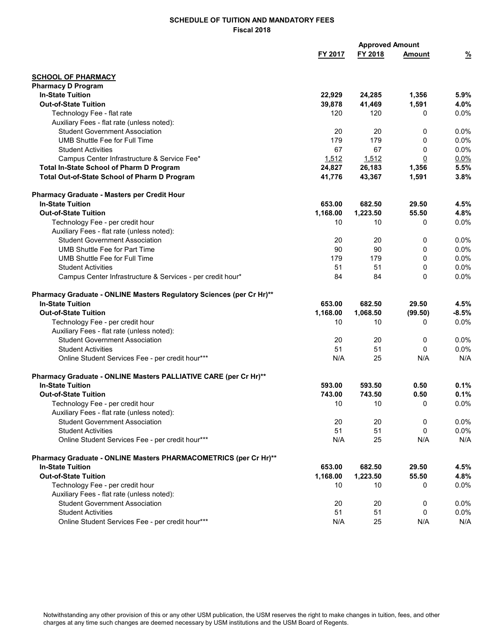|                                                                      |          | <b>Approved Amount</b> |                |               |
|----------------------------------------------------------------------|----------|------------------------|----------------|---------------|
|                                                                      | FY 2017  | FY 2018                | <b>Amount</b>  | $\frac{9}{6}$ |
| <b>SCHOOL OF PHARMACY</b>                                            |          |                        |                |               |
| <b>Pharmacy D Program</b>                                            |          |                        |                |               |
| <b>In-State Tuition</b>                                              | 22,929   | 24,285                 | 1,356          | 5.9%          |
| <b>Out-of-State Tuition</b>                                          | 39,878   | 41,469                 | 1,591          | 4.0%          |
| Technology Fee - flat rate                                           | 120      | 120                    | 0              | 0.0%          |
| Auxiliary Fees - flat rate (unless noted):                           |          |                        |                |               |
| <b>Student Government Association</b>                                | 20       | 20                     | 0              | 0.0%          |
| <b>UMB Shuttle Fee for Full Time</b>                                 | 179      | 179                    | 0              | 0.0%          |
| <b>Student Activities</b>                                            | 67       | 67                     | 0              | 0.0%          |
| Campus Center Infrastructure & Service Fee*                          | 1,512    | 1,512                  | $\overline{0}$ | 0.0%          |
| Total In-State School of Pharm D Program                             | 24,827   | 26,183                 | 1,356          | 5.5%          |
| Total Out-of-State School of Pharm D Program                         | 41,776   | 43,367                 | 1,591          | 3.8%          |
| Pharmacy Graduate - Masters per Credit Hour                          |          |                        |                |               |
| <b>In-State Tuition</b>                                              | 653.00   | 682.50                 | 29.50          | 4.5%          |
| <b>Out-of-State Tuition</b>                                          | 1,168.00 | 1,223.50               | 55.50          | 4.8%          |
| Technology Fee - per credit hour                                     | 10       | 10                     | 0              | $0.0\%$       |
| Auxiliary Fees - flat rate (unless noted):                           |          |                        |                |               |
| <b>Student Government Association</b>                                | 20       | 20                     | 0              | 0.0%          |
| <b>UMB Shuttle Fee for Part Time</b>                                 | 90       | 90                     | 0              | 0.0%          |
| UMB Shuttle Fee for Full Time                                        | 179      | 179                    | 0              | $0.0\%$       |
| <b>Student Activities</b>                                            | 51       | 51                     | 0              | 0.0%          |
| Campus Center Infrastructure & Services - per credit hour*           | 84       | 84                     | $\Omega$       | $0.0\%$       |
| Pharmacy Graduate - ONLINE Masters Regulatory Sciences (per Cr Hr)** |          |                        |                |               |
| <b>In-State Tuition</b>                                              | 653.00   | 682.50                 | 29.50          | 4.5%          |
| <b>Out-of-State Tuition</b>                                          | 1,168.00 | 1,068.50               | (99.50)        | $-8.5%$       |
| Technology Fee - per credit hour                                     | 10       | 10                     | 0              | 0.0%          |
| Auxiliary Fees - flat rate (unless noted):                           |          |                        |                |               |
| <b>Student Government Association</b>                                | 20       | 20                     | 0              | $0.0\%$       |
| <b>Student Activities</b>                                            | 51       | 51                     | 0              | 0.0%          |
| Online Student Services Fee - per credit hour***                     | N/A      | 25                     | N/A            | N/A           |
| Pharmacy Graduate - ONLINE Masters PALLIATIVE CARE (per Cr Hr)**     |          |                        |                |               |
| <b>In-State Tuition</b>                                              | 593.00   | 593.50                 | 0.50           | 0.1%          |
| <b>Out-of-State Tuition</b>                                          | 743.00   | 743.50                 | 0.50           | 0.1%          |
| Technology Fee - per credit hour                                     | 10       | 10                     | 0              | $0.0\%$       |
| Auxiliary Fees - flat rate (unless noted):                           |          |                        |                |               |
| <b>Student Government Association</b>                                | 20       | 20                     | 0              | $0.0\%$       |
| <b>Student Activities</b>                                            | 51       | 51                     | 0              | $0.0\%$       |
| Online Student Services Fee - per credit hour***                     | N/A      | 25                     | N/A            | N/A           |
| Pharmacy Graduate - ONLINE Masters PHARMACOMETRICS (per Cr Hr)**     |          |                        |                |               |
| <b>In-State Tuition</b>                                              | 653.00   | 682.50                 | 29.50          | 4.5%          |
| <b>Out-of-State Tuition</b>                                          | 1,168.00 | 1,223.50               | 55.50          | 4.8%          |
| Technology Fee - per credit hour                                     | 10       | 10                     | 0              | $0.0\%$       |
| Auxiliary Fees - flat rate (unless noted):                           |          |                        |                |               |
| <b>Student Government Association</b>                                | 20       | 20                     | 0              | $0.0\%$       |
| <b>Student Activities</b>                                            | 51       | 51                     | 0              | 0.0%          |
| Online Student Services Fee - per credit hour***                     | N/A      | 25                     | N/A            | N/A           |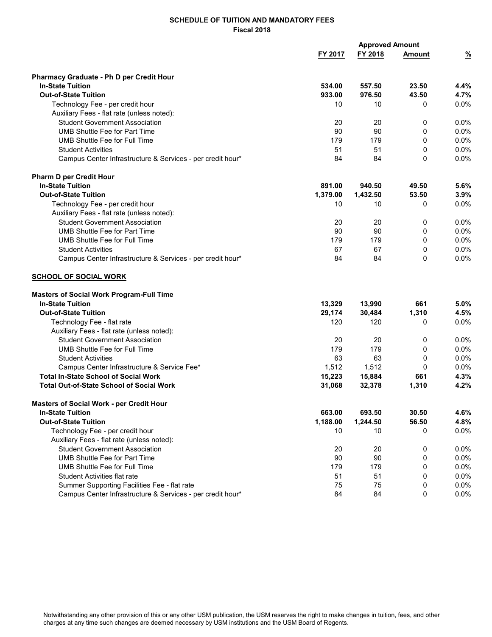|                                                            |          | <b>Approved Amount</b> |                |               |
|------------------------------------------------------------|----------|------------------------|----------------|---------------|
|                                                            | FY 2017  | FY 2018                | <b>Amount</b>  | $\frac{9}{6}$ |
| <b>Pharmacy Graduate - Ph D per Credit Hour</b>            |          |                        |                |               |
| <b>In-State Tuition</b>                                    | 534.00   | 557.50                 | 23.50          | 4.4%          |
| <b>Out-of-State Tuition</b>                                | 933.00   | 976.50                 | 43.50          | 4.7%          |
| Technology Fee - per credit hour                           | 10       | 10                     | 0              | 0.0%          |
| Auxiliary Fees - flat rate (unless noted):                 |          |                        |                |               |
| <b>Student Government Association</b>                      | 20       | 20                     | 0              | 0.0%          |
| <b>UMB Shuttle Fee for Part Time</b>                       | 90       | 90                     | 0              | $0.0\%$       |
| UMB Shuttle Fee for Full Time                              | 179      | 179                    | 0              | 0.0%          |
| <b>Student Activities</b>                                  | 51       | 51                     | 0              | $0.0\%$       |
| Campus Center Infrastructure & Services - per credit hour* | 84       | 84                     | 0              | 0.0%          |
| <b>Pharm D per Credit Hour</b>                             |          |                        |                |               |
| <b>In-State Tuition</b>                                    | 891.00   | 940.50                 | 49.50          | 5.6%          |
| <b>Out-of-State Tuition</b>                                | 1,379.00 | 1,432.50               | 53.50          | 3.9%          |
| Technology Fee - per credit hour                           | 10       | 10                     | 0              | $0.0\%$       |
| Auxiliary Fees - flat rate (unless noted):                 |          |                        |                |               |
| <b>Student Government Association</b>                      | 20       | 20                     | 0              | 0.0%          |
| <b>UMB Shuttle Fee for Part Time</b>                       | 90       | 90                     | 0              | 0.0%          |
| UMB Shuttle Fee for Full Time                              | 179      | 179                    | 0              | $0.0\%$       |
| <b>Student Activities</b>                                  | 67       | 67                     | 0              | 0.0%          |
| Campus Center Infrastructure & Services - per credit hour* | 84       | 84                     | 0              | $0.0\%$       |
| <b>SCHOOL OF SOCIAL WORK</b>                               |          |                        |                |               |
| <b>Masters of Social Work Program-Full Time</b>            |          |                        |                |               |
| <b>In-State Tuition</b>                                    | 13,329   | 13,990                 | 661            | 5.0%          |
| <b>Out-of-State Tuition</b>                                | 29,174   | 30,484                 | 1,310          | 4.5%          |
| Technology Fee - flat rate                                 | 120      | 120                    | 0              | 0.0%          |
| Auxiliary Fees - flat rate (unless noted):                 |          |                        |                |               |
| <b>Student Government Association</b>                      | 20       | 20                     | 0              | 0.0%          |
| <b>UMB Shuttle Fee for Full Time</b>                       | 179      | 179                    | 0              | 0.0%          |
| <b>Student Activities</b>                                  | 63       | 63                     | 0              | 0.0%          |
| Campus Center Infrastructure & Service Fee*                | 1,512    | 1,512                  | $\overline{0}$ | 0.0%          |
| <b>Total In-State School of Social Work</b>                | 15,223   | 15,884                 | 661            | 4.3%          |
| <b>Total Out-of-State School of Social Work</b>            | 31,068   | 32,378                 | 1,310          | 4.2%          |
| Masters of Social Work - per Credit Hour                   |          |                        |                |               |
| <b>In-State Tuition</b>                                    | 663.00   | 693.50                 | 30.50          | 4.6%          |
| <b>Out-of-State Tuition</b>                                | 1,188.00 | 1,244.50               | 56.50          | 4.8%          |
| Technology Fee - per credit hour                           | 10       | 10                     | 0              | $0.0\%$       |
| Auxiliary Fees - flat rate (unless noted):                 |          |                        |                |               |
| <b>Student Government Association</b>                      | 20       | 20                     | 0              | $0.0\%$       |
| <b>UMB Shuttle Fee for Part Time</b>                       | 90       | 90                     | 0              | $0.0\%$       |
| <b>UMB Shuttle Fee for Full Time</b>                       | 179      | 179                    | 0              | $0.0\%$       |
| <b>Student Activities flat rate</b>                        | 51       | 51                     | 0              | 0.0%          |
| Summer Supporting Facilities Fee - flat rate               | 75       | 75                     | 0              | 0.0%          |
| Campus Center Infrastructure & Services - per credit hour* | 84       | 84                     | 0              | 0.0%          |